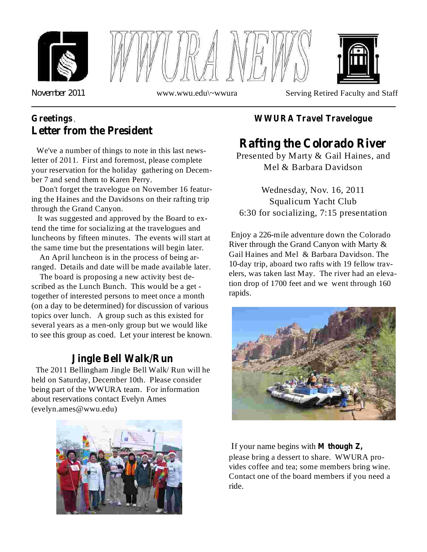





*November* 2011 www.wwu.edu\~wwura Serving Retired Faculty and Staff

## **Greetings** ,**Letter from the President**

We've a number of things to note in this last newsletter of 2011. First and foremost, please complete your reservation for the holiday gathering on December 7 and send them to Karen Perry.

Don't forget the travelogue on November 16 featuring the Haines and the Davidsons on their rafting trip through the Grand Canyon.

It was suggested and approved by the Board to extend the time for socializing at the travelogues and luncheons by fifteen minutes. The events will start at the same time but the presentations will begin later.

An April luncheon is in the process of being arranged. Details and date will be made available later.

The board is proposing a new activity best described as the Lunch Bunch. This would be a get together of interested persons to meet once a month (on a day to be determined) for discussion of various topics over lunch. A group such as this existed for several years as a men-only group but we would like to see this group as coed. Let your interest be known.

### **Jingle Bell Walk/Run**

The 2011 Bellingham Jingle Bell Walk/ Run will he held on Saturday, December 10th. Please consider being part of the WWURA team. For information about reservations contact Evelyn Ames (evelyn.ames@wwu.edu)



#### **WWURA Travel Travelogue**

# **Rafting the Colorado River**

Presented by Marty & Gail Haines, and Mel & Barbara Davidson

Wednesday, Nov. 16, 2011 Squalicum Yacht Club 6:30 for socializing, 7:15 presentation

Enjoy a 226-mile adventure down the Colorado River through the Grand Canyon with Marty & Gail Haines and Mel & Barbara Davidson. The 10-day trip, aboard two rafts with 19 fellow travelers, was taken last May. The river had an elevation drop of 1700 feet and we went through 160 rapids.



If your name begins with **M though Z,** please bring a dessert to share. WWURA provides coffee and tea; some members bring wine. Contact one of the board members if you need a ride.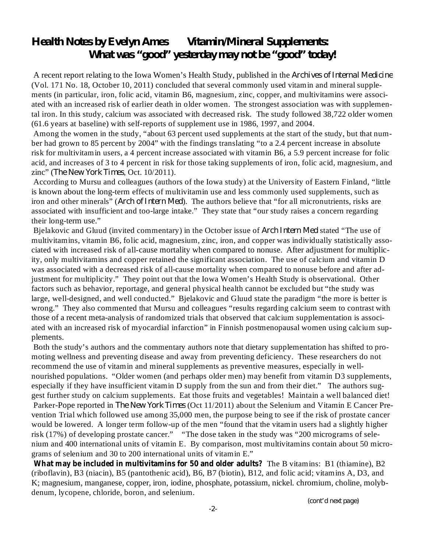## *Health Notes by Evelyn Ames Vitamin/Mineral Supplements: What was "good" yesterday may not be "good" today!*

A recent report relating to the Iowa Women's Health Study, published in the *Archives of Internal Medicine* (Vol. 171 No. 18, October 10, 2011) concluded that several commonly used vitamin and mineral supplements (in particular, iron, folic acid, vitamin B6, magnesium, zinc, copper, and multivitamins were associated with an increased risk of earlier death in older women. The strongest association was with supplemental iron. In this study, calcium was associated with decreased risk. The study followed 38,722 older women (61.6 years at baseline) with self-reports of supplement use in 1986, 1997, and 2004.

Among the women in the study, "about 63 percent used supplements at the start of the study, but that number had grown to 85 percent by 2004" with the findings translating "to a 2.4 percent increase in absolute risk for multivitamin users, a 4 percent increase associated with vitamin B6, a 5.9 percent increase for folic acid, and increases of 3 to 4 percent in risk for those taking supplements of iron, folic acid, magnesium, and *zinc*" (*The New York Times*, Oct. 10/2011).

According to Mursu and colleagues (authors of the Iowa study) at the University of Eastern Finland, "little is known about the long-term effects of multivitamin use and less commonly used supplements, such as iron and other minerals" (*Arch of Intern Med*). The authors believe that "for all micronutrients, risks are associated with insufficient and too-large intake." They state that "our study raises a concern regarding their long-term use."

Bjelakovic and Gluud (invited commentary) in the October issue of *Arch Intern Med* stated "The use of multivitamins, vitamin B6, folic acid, magnesium, zinc, iron, and copper was individually statistically associated with increased risk of all-cause mortality when compared to nonuse. After adjustment for multiplicity, only multivitamins and copper retained the significant association. The use of calcium and vitamin D was associated with a decreased risk of all-cause mortality when compared to nonuse before and after adjustment for multiplicity." They point out that the Iowa Women's Health Study is observational. Other factors such as behavior, reportage, and general physical health cannot be excluded but "the study was large, well-designed, and well conducted." Bjelakovic and Gluud state the paradigm "the more is better is wrong." They also commented that Mursu and colleagues "results regarding calcium seem to contrast with those of a recent meta-analysis of randomized trials that observed that calcium supplementation is associated with an increased risk of myocardial infarction" in Finnish postmenopausal women using calcium supplements.

Both the study's authors and the commentary authors note that dietary supplementation has shifted to promoting wellness and preventing disease and away from preventing deficiency. These researchers do not recommend the use of vitamin and mineral supplements as preventive measures, especially in wellnourished populations. "Older women (and perhaps older men) may benefit from vitamin D3 supplements, especially if they have insufficient vitamin D supply from the sun and from their diet." The authors suggest further study on calcium supplements. Eat those fruits and vegetables! Maintain a well balanced diet! Parker-Pope reported in *The New York Times* (Oct 11/2011) about the Selenium and Vitamin E Cancer Prevention Trial which followed use among 35,000 men, the purpose being to see if the risk of prostate cancer would be lowered. A longer term follow-up of the men "found that the vitamin users had a slightly higher risk (17%) of developing prostate cancer." "The dose taken in the study was "200 micrograms of selenium and 400 international units of vitamin E. By comparison, most multivitamins contain about 50 micrograms of selenium and 30 to 200 international units of vitamin E."

**What may be included in multivitamins for 50 and older adults? The B vitamins: B1 (thiamine), B2** (riboflavin), B3 (niacin), B5 (pantothenic acid), B6, B7 (biotin), B12, and folic acid; vitamins A, D3, and K; magnesium, manganese, copper, iron, iodine, phosphate, potassium, nickel. chromium, choline, molybdenum, lycopene, chloride, boron, and selenium.

*(cont'd next page)*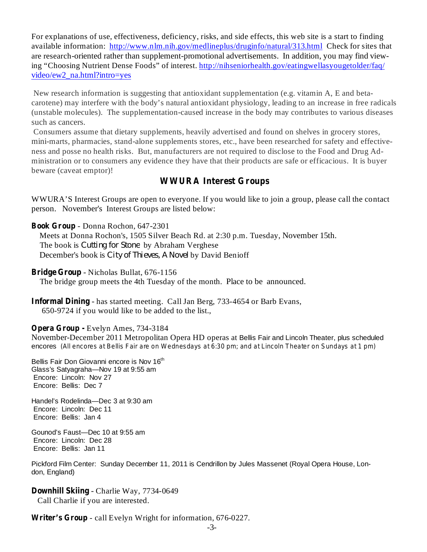For explanations of use, effectiveness, deficiency, risks, and side effects, this web site is a start to finding available information: http://www.nlm.nih.gov/medlineplus/druginfo/natural/313.html Check for sites that are research-oriented rather than supplement-promotional advertisements. In addition, you may find viewing "Choosing Nutrient Dense Foods" of interest. http://nihseniorhealth.gov/eatingwellasyougetolder/faq/ video/ew2\_na.html?intro=yes

New research information is suggesting that antioxidant supplementation (e.g. vitamin A, E and betacarotene) may interfere with the body's natural antioxidant physiology, leading to an increase in free radicals (unstable molecules). The supplementation-caused increase in the body may contributes to various diseases such as cancers.

Consumers assume that dietary supplements, heavily advertised and found on shelves in grocery stores, mini-marts, pharmacies, stand-alone supplements stores, etc., have been researched for safety and effectiveness and posse no health risks. But, manufacturers are not required to disclose to the Food and Drug Administration or to consumers any evidence they have that their products are safe or efficacious. It is buyer beware (caveat emptor)!

#### **WWURA Interest Groups**

WWURA'S Interest Groups are open to everyone. If you would like to join a group, please call the contact person. November's Interest Groups are listed below:

- Donna Rochon, 647-2301 **Book Group** Meets at Donna Rochon's, 1505 Silver Beach Rd. at 2:30 p.m. Tuesday, November 15th. The book is *Cutting for Stone* by Abraham Verghese December's book is City of Thieves, A Novel by David Benioff

Bridge Group - Nicholas Bullat, 676-1156

The bridge group meets the 4th Tuesday of the month. Place to be announced.

**Informal Dining** - has started meeting. Call Jan Berg, 733-4654 or Barb Evans, 650-9724 if you would like to be added to the list.,

#### Evelyn Ames, 734-3184 **Opera Group -**

November-December 2011 Metropolitan Opera HD operas at Bellis Fair and Lincoln Theater, plus scheduled encores (All encores at Bellis Fair are on Wednesdays at 6:30 pm; and at Lincoln Theater on Sundays at 1 pm)

Bellis Fair Don Giovanni encore is Nov 16<sup>th</sup> Glass's Satyagraha—Nov 19 at 9:55 am Encore: Lincoln: Nov 27 Encore: Bellis: Dec 7

Handel's Rodelinda—Dec 3 at 9:30 am Encore: Lincoln: Dec 11 Encore: Bellis: Jan 4

Gounod's Faust—Dec 10 at 9:55 am Encore: Lincoln: Dec 28 Encore: Bellis: Jan 11

Pickford Film Center: Sunday December 11, 2011 is Cendrillon by Jules Massenet (Royal Opera House, London, England)

**Downhill Skiing** - Charlie Way, 7734-0649 Call Charlie if you are interested.

Writer's Group - call Evelyn Wright for information, 676-0227.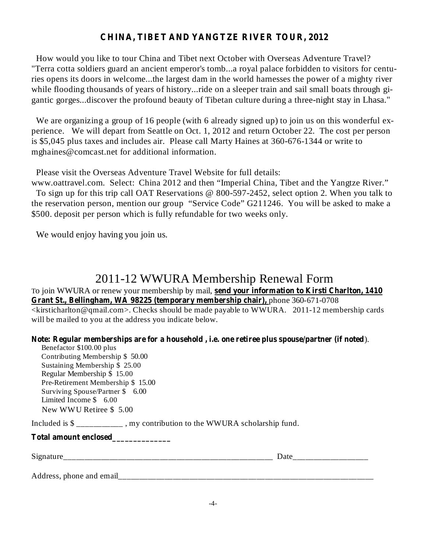#### **CHINA, TIBET AND YANGTZE RIVER TOUR, 2012**

How would you like to tour China and Tibet next October with Overseas Adventure Travel? "Terra cotta soldiers guard an ancient emperor's tomb...a royal palace forbidden to visitors for centuries opens its doors in welcome...the largest dam in the world harnesses the power of a mighty river while flooding thousands of years of history...ride on a sleeper train and sail small boats through gigantic gorges...discover the profound beauty of Tibetan culture during a three-night stay in Lhasa."

We are organizing a group of 16 people (with 6 already signed up) to join us on this wonderful experience. We will depart from Seattle on Oct. 1, 2012 and return October 22. The cost per person is \$5,045 plus taxes and includes air. Please call Marty Haines at 360-676-1344 or write to mghaines@comcast.net for additional information.

Please visit the Overseas Adventure Travel Website for full details:

www.oattravel.com. Select: China 2012 and then "Imperial China, Tibet and the Yangtze River." To sign up for this trip call OAT Reservations @ 800-597-2452, select option 2. When you talk to the reservation person, mention our group "Service Code" G211246. You will be asked to make a \$500. deposit per person which is fully refundable for two weeks only.

We would enjoy having you join us.

## 2011-12 WWURA Membership Renewal Form

**send your information to Kirsti Charlton, 1410** To join WWURA or renew your membership by mail, **Grant St., Bellingham, WA 98225 (temporary membership chair),** phone 360-671-0708 <kirsticharlton@qmail.com>. Checks should be made payable to WWURA. 2011-12 membership cards will be mailed to you at the address you indicate below.

**Note: Regular memberships are for a household , i.e. one retiree plus spouse/partner (if noted** ).

Benefactor \$100.00 plus Contributing Membership \$50.00 Sustaining Membership \$025.00 Regular Membership \$015.00 Pre-Retirement Membership \$15.00 Surviving Spouse/Partner \$6.00 Limited Income \$6.00 New WWU Retiree \$5.00

Included is \$ \_\_\_\_\_\_\_\_\_\_\_ , my contribution to the WWURA scholarship fund.

**Total amount enclosed\_\_\_\_\_\_\_\_\_\_\_\_\_\_**

Address, phone and email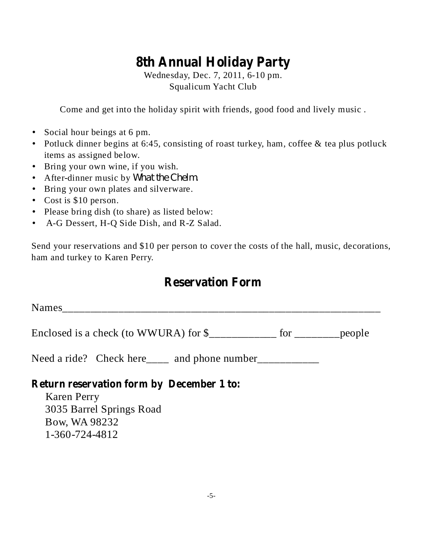# **8th Annual Holiday Party**

Wednesday, Dec. 7, 2011, 6-10 pm. Squalicum Yacht Club

Come and get into the holiday spirit with friends, good food and lively music .

- Social hour beings at 6 pm.
- Potluck dinner begins at 6:45, consisting of roast turkey, ham, coffee & tea plus potluck items as assigned below.
- Bring your own wine, if you wish.
- After-dinner music by *What the Chelm.*
- Bring your own plates and silverware.
- Cost is \$10 person.
- Please bring dish (to share) as listed below:
- A-G Dessert, H-Q Side Dish, and R-Z Salad. •

Send your reservations and \$10 per person to cover the costs of the hall, music, decorations, ham and turkey to Karen Perry.

## **Reservation Form**

Names\_\_\_\_\_\_\_\_\_\_\_\_\_\_\_\_\_\_\_\_\_\_\_\_\_\_\_\_\_\_\_\_\_\_\_\_\_\_\_\_\_\_\_\_\_\_\_\_\_\_\_\_\_\_\_\_\_

Enclosed is a check (to WWURA) for \$\_\_\_\_\_\_\_\_\_\_\_\_ for \_\_\_\_\_\_\_\_people

Need a ride? Check here\_\_\_\_ and phone number\_\_\_\_\_\_\_\_\_\_\_

#### **Return reservation form by December 1 to:**

Karen Perry 3035 Barrel Springs Road Bow, WA 98232 1-360-724-4812